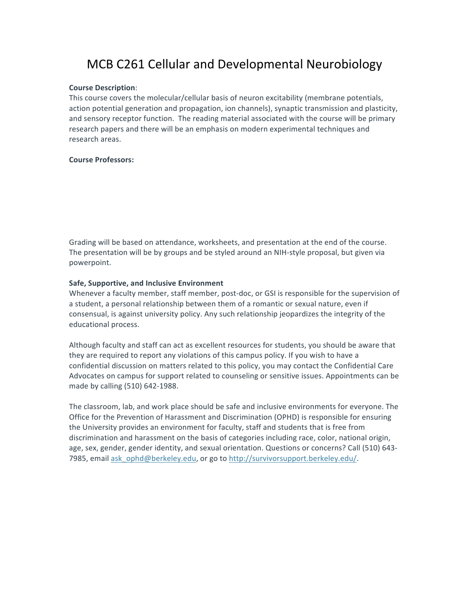## MCB C261 Cellular and Developmental Neurobiology

## **Course Description**:

This course covers the molecular/cellular basis of neuron excitability (membrane potentials, action potential generation and propagation, ion channels), synaptic transmission and plasticity, and sensory receptor function. The reading material associated with the course will be primary research papers and there will be an emphasis on modern experimental techniques and research areas.

## **Course Professors:**

Grading will be based on attendance, worksheets, and presentation at the end of the course. The presentation will be by groups and be styled around an NIH-style proposal, but given via powerpoint.

## **Safe, Supportive, and Inclusive Environment**

Whenever a faculty member, staff member, post-doc, or GSI is responsible for the supervision of a student, a personal relationship between them of a romantic or sexual nature, even if consensual, is against university policy. Any such relationship jeopardizes the integrity of the educational process.

Although faculty and staff can act as excellent resources for students, you should be aware that they are required to report any violations of this campus policy. If you wish to have a confidential discussion on matters related to this policy, you may contact the Confidential Care Advocates on campus for support related to counseling or sensitive issues. Appointments can be made by calling (510) 642-1988.

The classroom, lab, and work place should be safe and inclusive environments for everyone. The Office for the Prevention of Harassment and Discrimination (OPHD) is responsible for ensuring the University provides an environment for faculty, staff and students that is free from discrimination and harassment on the basis of categories including race, color, national origin, age, sex, gender, gender identity, and sexual orientation. Questions or concerns? Call (510) 643-7985, email ask\_ophd@berkeley.edu, or go to http://survivorsupport.berkeley.edu/.